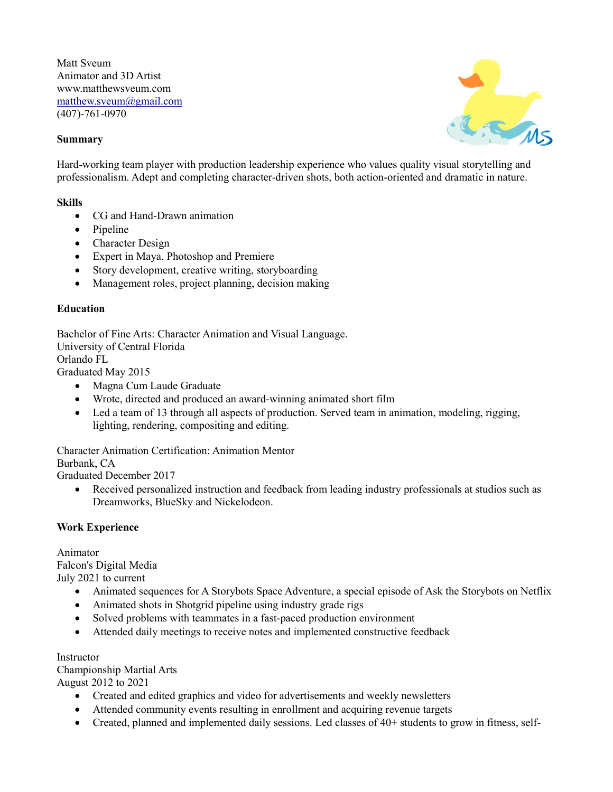Matt Sveum Animator and 3D Artist www.matthewsveum.com matthew.sveum@gmail.com (407)-761-0970

## Summary



Hard-working team player with production leadership experience who values quality visual storytelling and professionalism. Adept and completing character-driven shots, both action-oriented and dramatic in nature.

#### Skills

- CG and Hand-Drawn animation
- Pipeline
- Character Design
- Expert in Maya, Photoshop and Premiere
- Story development, creative writing, storyboarding
- Management roles, project planning, decision making

### **Education**

Bachelor of Fine Arts: Character Animation and Visual Language. University of Central Florida Orlando FL Graduated May 2015

- Magna Cum Laude Graduate
- Wrote, directed and produced an award-winning animated short film
- Led a team of 13 through all aspects of production. Served team in animation, modeling, rigging, lighting, rendering, compositing and editing.

Character Animation Certification: Animation Mentor

Burbank, CA

Graduated December 2017

 Received personalized instruction and feedback from leading industry professionals at studios such as Dreamworks, BlueSky and Nickelodeon.

### Work Experience

Animator Falcon's Digital Media July 2021 to current

- Animated sequences for A Storybots Space Adventure, a special episode of Ask the Storybots on Netflix
- Animated shots in Shotgrid pipeline using industry grade rigs
- Solved problems with teammates in a fast-paced production environment
- Attended daily meetings to receive notes and implemented constructive feedback

#### **Instructor**

Championship Martial Arts August 2012 to 2021

- Created and edited graphics and video for advertisements and weekly newsletters
- Attended community events resulting in enrollment and acquiring revenue targets
- Created, planned and implemented daily sessions. Led classes of 40+ students to grow in fitness, self-